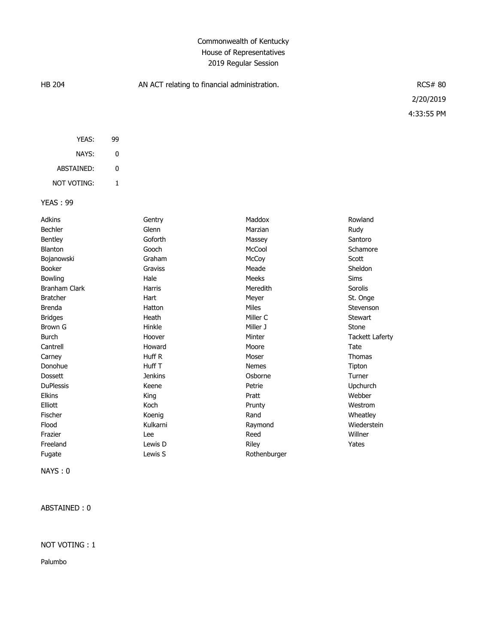## Commonwealth of Kentucky House of Representatives 2019 Regular Session

| <b>HB 204</b>   |           | AN ACT relating to financial administration. |                 |                    | <b>RCS# 80</b> |  |
|-----------------|-----------|----------------------------------------------|-----------------|--------------------|----------------|--|
|                 |           |                                              |                 |                    | 2/20/2019      |  |
|                 |           |                                              |                 |                    | 4:33:55 PM     |  |
| YEAS:           | 99        |                                              |                 |                    |                |  |
| NAYS:           | $\pmb{0}$ |                                              |                 |                    |                |  |
| ABSTAINED:      | 0         |                                              |                 |                    |                |  |
| NOT VOTING:     | 1         |                                              |                 |                    |                |  |
| <b>YEAS: 99</b> |           |                                              |                 |                    |                |  |
| Adkins          |           | Gentry                                       | Maddox          | Rowland            |                |  |
| Bechler         |           | Glenn                                        | Marzian         | Rudy               |                |  |
| Bentley         |           | Goforth                                      | Massey          | Santoro            |                |  |
| Blanton         |           | Gooch                                        | McCool          | Schamore           |                |  |
| Dejanaughi      |           | C <sub>sub</sub>                             | $M \sim C \sim$ | $C_{\alpha\alpha}$ |                |  |

| Bechler          | Glenn          | Marzian      | Rudy            |
|------------------|----------------|--------------|-----------------|
| Bentley          | Goforth        | Massey       | Santoro         |
| Blanton          | Gooch          | McCool       | Schamore        |
| Bojanowski       | Graham         | McCoy        | Scott           |
| <b>Booker</b>    | Graviss        | Meade        | Sheldon         |
| Bowling          | Hale           | <b>Meeks</b> | Sims            |
| Branham Clark    | Harris         | Meredith     | Sorolis         |
| <b>Bratcher</b>  | Hart           | Meyer        | St. Onge        |
| <b>Brenda</b>    | Hatton         | <b>Miles</b> | Stevenson       |
| <b>Bridges</b>   | Heath          | Miller C     | Stewart         |
| Brown G          | Hinkle         | Miller J     | Stone           |
| Burch            | Hoover         | Minter       | Tackett Laferty |
| Cantrell         | Howard         | Moore        | Tate            |
| Carney           | Huff R         | Moser        | <b>Thomas</b>   |
| Donohue          | Huff T         | <b>Nemes</b> | Tipton          |
| <b>Dossett</b>   | <b>Jenkins</b> | Osborne      | Turner          |
| <b>DuPlessis</b> | Keene          | Petrie       | Upchurch        |
| <b>Elkins</b>    | King           | Pratt        | Webber          |
| Elliott          | Koch           | Prunty       | Westrom         |
| Fischer          | Koenig         | Rand         | Wheatley        |
| Flood            | Kulkarni       | Raymond      | Wiederstein     |
| Frazier          | Lee            | Reed         | Willner         |
| Freeland         | Lewis D        | <b>Riley</b> | Yates           |
| Fugate           | Lewis S        | Rothenburger |                 |

NAYS : 0

ABSTAINED : 0

## NOT VOTING : 1

Palumbo